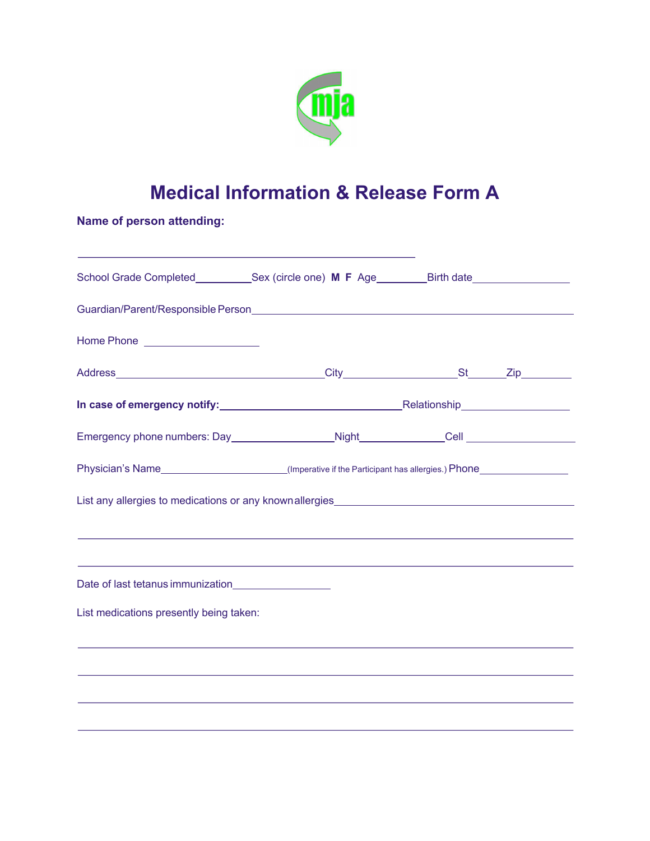

## **Medical Information & Release Form A**

**Name of person attending:**

| School Grade Completed____________Sex (circle one) M F Age_________Birth date_______________________            |  |  |
|-----------------------------------------------------------------------------------------------------------------|--|--|
| Guardian/Parent/Responsible Person entertainment and the control of the control of the control of the control o |  |  |
| Home Phone _____________________                                                                                |  |  |
|                                                                                                                 |  |  |
| In case of emergency notify: Manual Communicationship Relationship                                              |  |  |
|                                                                                                                 |  |  |
|                                                                                                                 |  |  |
|                                                                                                                 |  |  |
|                                                                                                                 |  |  |
|                                                                                                                 |  |  |
| Date of last tetanus immunization<br><u>Date of last tetanus immunization</u>                                   |  |  |
| List medications presently being taken:                                                                         |  |  |
|                                                                                                                 |  |  |
|                                                                                                                 |  |  |
|                                                                                                                 |  |  |
|                                                                                                                 |  |  |